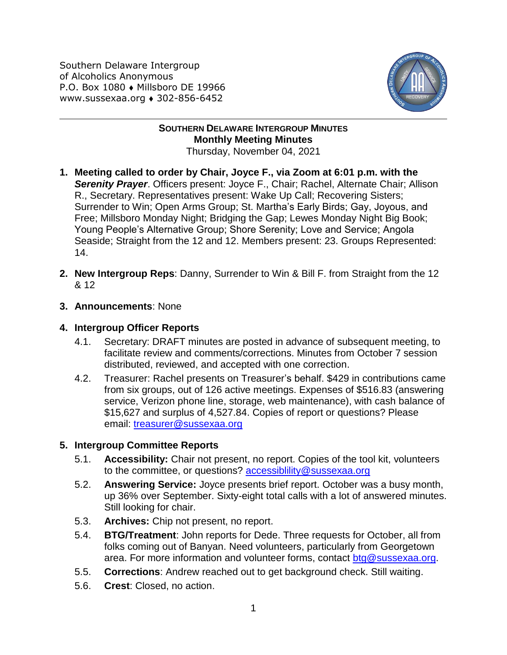Southern Delaware Intergroup of Alcoholics Anonymous P.O. Box 1080 • Millsboro DE 19966 www.sussexaa.org • 302-856-6452



## **SOUTHERN DELAWARE INTERGROUP MINUTES Monthly Meeting Minutes** Thursday, November 04, 2021

- **1. Meeting called to order by Chair, Joyce F., via Zoom at 6:01 p.m. with the**  *Serenity Prayer*. Officers present: Joyce F., Chair; Rachel, Alternate Chair; Allison R., Secretary. Representatives present: Wake Up Call; Recovering Sisters; Surrender to Win; Open Arms Group; St. Martha's Early Birds; Gay, Joyous, and Free; Millsboro Monday Night; Bridging the Gap; Lewes Monday Night Big Book; Young People's Alternative Group; Shore Serenity; Love and Service; Angola Seaside; Straight from the 12 and 12. Members present: 23. Groups Represented: 14.
- **2. New Intergroup Reps**: Danny, Surrender to Win & Bill F. from Straight from the 12 & 12
- **3. Announcements**: None
- **4. Intergroup Officer Reports**
	- 4.1. Secretary: DRAFT minutes are posted in advance of subsequent meeting, to facilitate review and comments/corrections. Minutes from October 7 session distributed, reviewed, and accepted with one correction.
	- 4.2. Treasurer: Rachel presents on Treasurer's behalf. \$429 in contributions came from six groups, out of 126 active meetings. Expenses of \$516.83 (answering service, Verizon phone line, storage, web maintenance), with cash balance of \$15,627 and surplus of 4,527.84. Copies of report or questions? Please email: [treasurer@sussexaa.org](mailto:treasurer@sussexaa.org)

## **5. Intergroup Committee Reports**

- 5.1. **Accessibility:** Chair not present, no report. Copies of the tool kit, volunteers to the committee, or questions? [accessiblility@sussexaa.org](mailto:accessiblility@sussexaa.org)
- 5.2. **Answering Service:** Joyce presents brief report. October was a busy month, up 36% over September. Sixty-eight total calls with a lot of answered minutes. Still looking for chair.
- 5.3. **Archives:** Chip not present, no report.
- 5.4. **BTG/Treatment**: John reports for Dede. Three requests for October, all from folks coming out of Banyan. Need volunteers, particularly from Georgetown area. For more information and volunteer forms, contact [btg@sussexaa.org.](mailto:btg@sussexaa.org)
- 5.5. **Corrections**: Andrew reached out to get background check. Still waiting.
- 5.6. **Crest**: Closed, no action.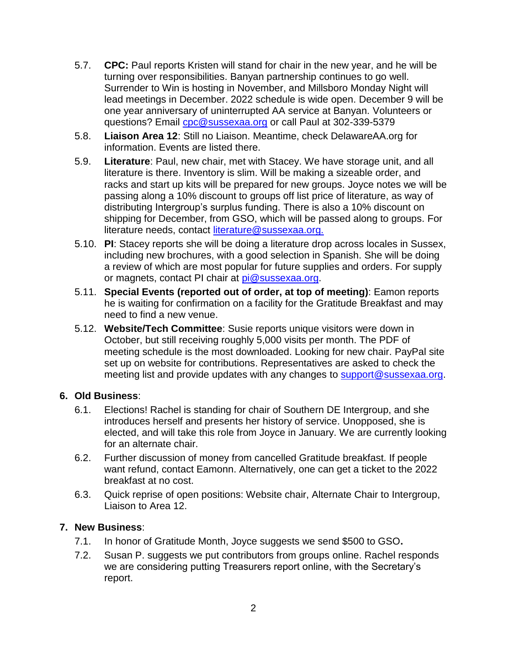- 5.7. **CPC:** Paul reports Kristen will stand for chair in the new year, and he will be turning over responsibilities. Banyan partnership continues to go well. Surrender to Win is hosting in November, and Millsboro Monday Night will lead meetings in December. 2022 schedule is wide open. December 9 will be one year anniversary of uninterrupted AA service at Banyan. Volunteers or questions? Email [cpc@sussexaa.org](mailto:cpc@sussexaa.org) or call Paul at 302-339-5379
- 5.8. **Liaison Area 12**: Still no Liaison. Meantime, check DelawareAA.org for information. Events are listed there.
- 5.9. **Literature**: Paul, new chair, met with Stacey. We have storage unit, and all literature is there. Inventory is slim. Will be making a sizeable order, and racks and start up kits will be prepared for new groups. Joyce notes we will be passing along a 10% discount to groups off list price of literature, as way of distributing Intergroup's surplus funding. There is also a 10% discount on shipping for December, from GSO, which will be passed along to groups. For literature needs, contact [literature@sussexaa.org.](mailto:literature@sussexaa.org.)
- 5.10. **PI**: Stacey reports she will be doing a literature drop across locales in Sussex, including new brochures, with a good selection in Spanish. She will be doing a review of which are most popular for future supplies and orders. For supply or magnets, contact PI chair at [pi@sussexaa.org.](mailto:pi@sussexaa.org)
- 5.11. **Special Events (reported out of order, at top of meeting)**: Eamon reports he is waiting for confirmation on a facility for the Gratitude Breakfast and may need to find a new venue.
- 5.12. **Website/Tech Committee**: Susie reports unique visitors were down in October, but still receiving roughly 5,000 visits per month. The PDF of meeting schedule is the most downloaded. Looking for new chair. PayPal site set up on website for contributions. Representatives are asked to check the meeting list and provide updates with any changes to [support@sussexaa.org.](mailto:support@sussexaa.org)

## **6. Old Business**:

- 6.1. Elections! Rachel is standing for chair of Southern DE Intergroup, and she introduces herself and presents her history of service. Unopposed, she is elected, and will take this role from Joyce in January. We are currently looking for an alternate chair.
- 6.2. Further discussion of money from cancelled Gratitude breakfast. If people want refund, contact Eamonn. Alternatively, one can get a ticket to the 2022 breakfast at no cost.
- 6.3. Quick reprise of open positions: Website chair, Alternate Chair to Intergroup, Liaison to Area 12.

## **7. New Business**:

- 7.1. In honor of Gratitude Month, Joyce suggests we send \$500 to GSO**.**
- 7.2. Susan P. suggests we put contributors from groups online. Rachel responds we are considering putting Treasurers report online, with the Secretary's report.